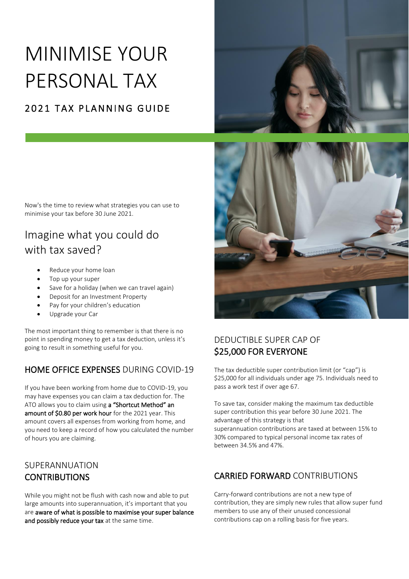# MINIMISE YOUR PERSONAL TAX

### 2021 TAX PLANNING GUIDE



Now's the time to review what strategies you can use to minimise your tax before 30 June 2021.

## Imagine what you could do with tax saved?

- Reduce your home loan
- Top up your super
- Save for a holiday (when we can travel again)
- Deposit for an Investment Property
- Pay for your children's education
- Upgrade your Car

The most important thing to remember is that there is no point in spending money to get a tax deduction, unless it's going to result in something useful for you.

#### HOME OFFICE EXPENSES DURING COVID-19

If you have been working from home due to COVID-19, you may have expenses you can claim a tax deduction for. The ATO allows you to claim using a "Shortcut Method" an amount of \$0.80 per work hour for the 2021 year. This amount covers all expenses from working from home, and you need to keep a record of how you calculated the number of hours you are claiming.

#### SUPERANNUATION **CONTRIBUTIONS**

While you might not be flush with cash now and able to put large amounts into superannuation, it's important that you are aware of what is possible to maximise your super balance and possibly reduce your tax at the same time.



#### DEDUCTIBLE SUPER CAP OF \$25,000 FOR EVERYONE

The tax deductible super contribution limit (or "cap") is \$25,000 for all individuals under age 75. Individuals need to pass a work test if over age 67.

To save tax, consider making the maximum tax deductible super contribution this year before 30 June 2021. The advantage of this strategy is that superannuation contributions are taxed at between 15% to 30% compared to typical personal income tax rates of between 34.5% and 47%.

#### CARRIED FORWARD CONTRIBUTIONS

Carry-forward contributions are not a new type of contribution, they are simply new rules that allow super fund members to use any of their unused concessional contributions cap on a rolling basis for five years.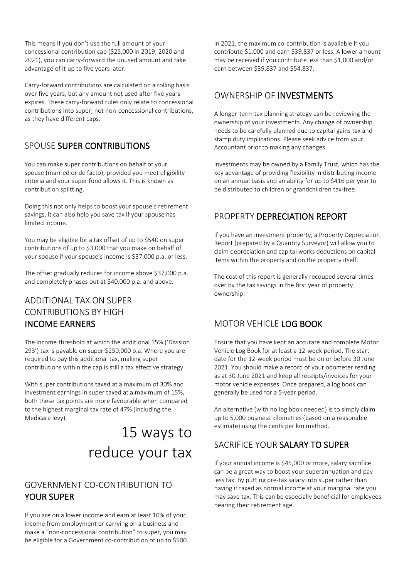This means if you don't use the full amount of your concessional contribution cap (\$25,000 in 2019, 2020 and 2021), you can carry-forward the unused amount and take advantage of it up to five years later.

Carry-forward contributions are calculated on a rolling basis over five years, but any amount not used after five years expires. These carry-forward rules only relate to concessional contributions into super, not non-concessional contributions, as they have different caps.

#### SPOUSE SUPER CONTRIBUTIONS

You can make super contributions on behalf of your spouse (married or de facto), provided you meet eligibility criteria and your super fund allows it. This is known as contribution splitting.

Doing this not only helps to boost your spouse's retirement savings, it can also help you save tax if your spouse has limited income.

You may be eligible for a tax offset of up to \$540 on super contributions of up to \$3,000 that you make on behalf of your spouse if your spouse's income is \$37,000 p.a. or less.

The offset gradually reduces for income above \$37,000 p.a. and completely phases out at \$40,000 p.a. and above.

#### ADDITIONAL TAX ON SUPER CONTRIBUTIONS BY HIGH INCOME EARNERS

The income threshold at which the additional 15% ('Division 293') tax is payable on super \$250,000 p.a. Where you are required to pay this additional tax, making super contributions within the cap is still a tax effective strategy.

With super contributions taxed at a maximum of 30% and investment earnings in super taxed at a maximum of 15%, both these tax points are more favourable when compared to the highest marginal tax rate of 47% (including the Medicare levy).

# 15 ways to reduce your tax

#### GOVERNMENT CO-CONTRIBUTION TO YOUR SUPER

If you are on a lower income and earn at least 10% of your income from employment or carrying on a business and make a "non-concessional contribution" to super, you may be eligible for a Government co-contribution of up to \$500. In 2021, the maximum co-contribution is available if you contribute \$1,000 and earn \$39,837 or less. A lower amount may be received if you contribute less than \$1,000 and/or earn between \$39,837 and \$54,837.

#### OWNERSHIP OF INVESTMENTS

A longer-term tax planning strategy can be reviewing the ownership of your investments. Any change of ownership needs to be carefully planned due to capital gains tax and stamp duty implications. Please seek advice from your Accountant prior to making any changes.

Investments may be owned by a Family Trust, which has the key advantage of providing flexibility in distributing income on an annual basis and an ability for up to \$416 per year to be distributed to children or grandchildren tax-free.

#### PROPERTY DEPRECIATION REPORT

If you have an investment property, a Property Depreciation Report (prepared by a Quantity Surveyor) will allow you to claim depreciation and capital works deductions on capital items within the property and on the property itself.

The cost of this report is generally recouped several times over by the tax savings in the first year of property ownership.

#### MOTOR VEHICLE LOG BOOK

Ensure that you have kept an accurate and complete Motor Vehicle Log Book for at least a 12-week period. The start date for the 12-week period must be on or before 30 June 2021. You should make a record of your odometer reading as at 30 June 2021 and keep all receipts/invoices for your motor vehicle expenses. Once prepared, a log book can generally be used for a 5-year period.

An alternative (with no log book needed) is to simply claim up to 5,000 business kilometres (based on a reasonable estimate) using the cents per km method.

#### SACRIFICE YOUR SALARY TO SUPER

If your annual income is \$45,000 or more, salary sacrifice can be a great way to boost your superannuation and pay less tax. By putting pre-tax salary into super rather than having it taxed as normal income at your marginal rate you may save tax. This can be especially beneficial for employees nearing their retirement age.